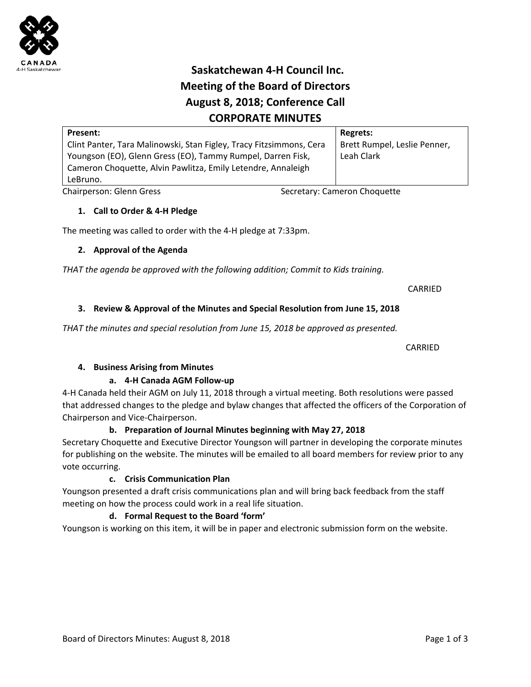# **Saskatchewan 4‐H Council Inc. Meeting of the Board of Directors August 8, 2018; Conference Call CORPORATE MINUTES**

| Present:                                                            |                              | <b>Regrets:</b>              |
|---------------------------------------------------------------------|------------------------------|------------------------------|
| Clint Panter, Tara Malinowski, Stan Figley, Tracy Fitzsimmons, Cera |                              | Brett Rumpel, Leslie Penner, |
| Youngson (EO), Glenn Gress (EO), Tammy Rumpel, Darren Fisk,         |                              | Leah Clark                   |
| Cameron Choquette, Alvin Pawlitza, Emily Letendre, Annaleigh        |                              |                              |
| LeBruno.                                                            |                              |                              |
| Chairperson: Glenn Gress                                            | Secretary: Cameron Choquette |                              |

# **1. Call to Order & 4‐H Pledge**

The meeting was called to order with the 4‐H pledge at 7:33pm.

# **2. Approval of the Agenda**

*THAT the agenda be approved with the following addition; Commit to Kids training.* 

 $\overline{\text{CARRED}}$ 

# **3. Review & Approval of the Minutes and Special Resolution from June 15, 2018**

THAT the minutes and special resolution from June 15, 2018 be approved as presented.

 CARRIED

# **4. Business Arising from Minutes**

# **a. 4‐H Canada AGM Follow‐up**

4‐H Canada held their AGM on July 11, 2018 through a virtual meeting. Both resolutions were passed that addressed changes to the pledge and bylaw changes that affected the officers of the Corporation of Chairperson and Vice‐Chairperson.

# **b. Preparation of Journal Minutes beginning with May 27, 2018**

Secretary Choquette and Executive Director Youngson will partner in developing the corporate minutes for publishing on the website. The minutes will be emailed to all board members for review prior to any vote occurring.

# **c. Crisis Communication Plan**

Youngson presented a draft crisis communications plan and will bring back feedback from the staff meeting on how the process could work in a real life situation.

# **d. Formal Request to the Board 'form'**

Youngson is working on this item, it will be in paper and electronic submission form on the website.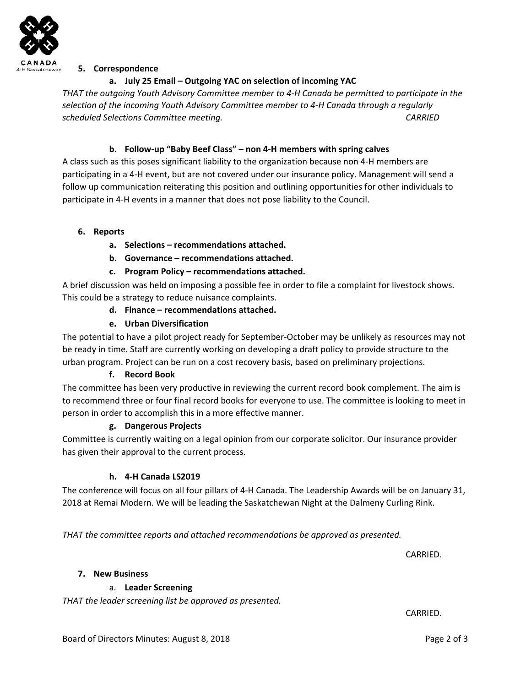

### **5. Correspondence**

# **a. July 25 Email – Outgoing YAC on selection of incoming YAC**

*THAT the outgoing Youth Advisory Committee member to 4‐H Canada be permitted to participate in the selection of the incoming Youth Advisory Committee member to 4‐H Canada through a regularly scheduled Selections Committee meeting. CARRIED* 

# **b. Follow‐up "Baby Beef Class" – non 4‐H members with spring calves**

A class such as this poses significant liability to the organization because non 4‐H members are participating in a 4‐H event, but are not covered under our insurance policy. Management will send a follow up communication reiterating this position and outlining opportunities for other individuals to participate in 4‐H events in a manner that does not pose liability to the Council.

### **6. Reports**

- **a. Selections recommendations attached.**
- **b. Governance recommendations attached.**
- **c. Program Policy recommendations attached.**

A brief discussion was held on imposing a possible fee in order to file a complaint for livestock shows. This could be a strategy to reduce nuisance complaints.

- **d. Finance recommendations attached.**
- **e. Urban Diversification**

The potential to have a pilot project ready for September‐October may be unlikely as resources may not be ready in time. Staff are currently working on developing a draft policy to provide structure to the urban program. Project can be run on a cost recovery basis, based on preliminary projections.

#### **f. Record Book**

The committee has been very productive in reviewing the current record book complement. The aim is to recommend three or four final record books for everyone to use. The committee is looking to meet in person in order to accomplish this in a more effective manner.

#### **g. Dangerous Projects**

Committee is currently waiting on a legal opinion from our corporate solicitor. Our insurance provider has given their approval to the current process.

# **h. 4‐H Canada LS2019**

The conference will focus on all four pillars of 4‐H Canada. The Leadership Awards will be on January 31, 2018 at Remai Modern. We will be leading the Saskatchewan Night at the Dalmeny Curling Rink.

*THAT the committee reports and attached recommendations be approved as presented.* 

 $\overline{\text{CARRIED}}$ .

#### **7. New Business**

# a. **Leader Screening**

*THAT the leader screening list be approved as presented.* 

 $\overline{\text{CARRIED}}$ .